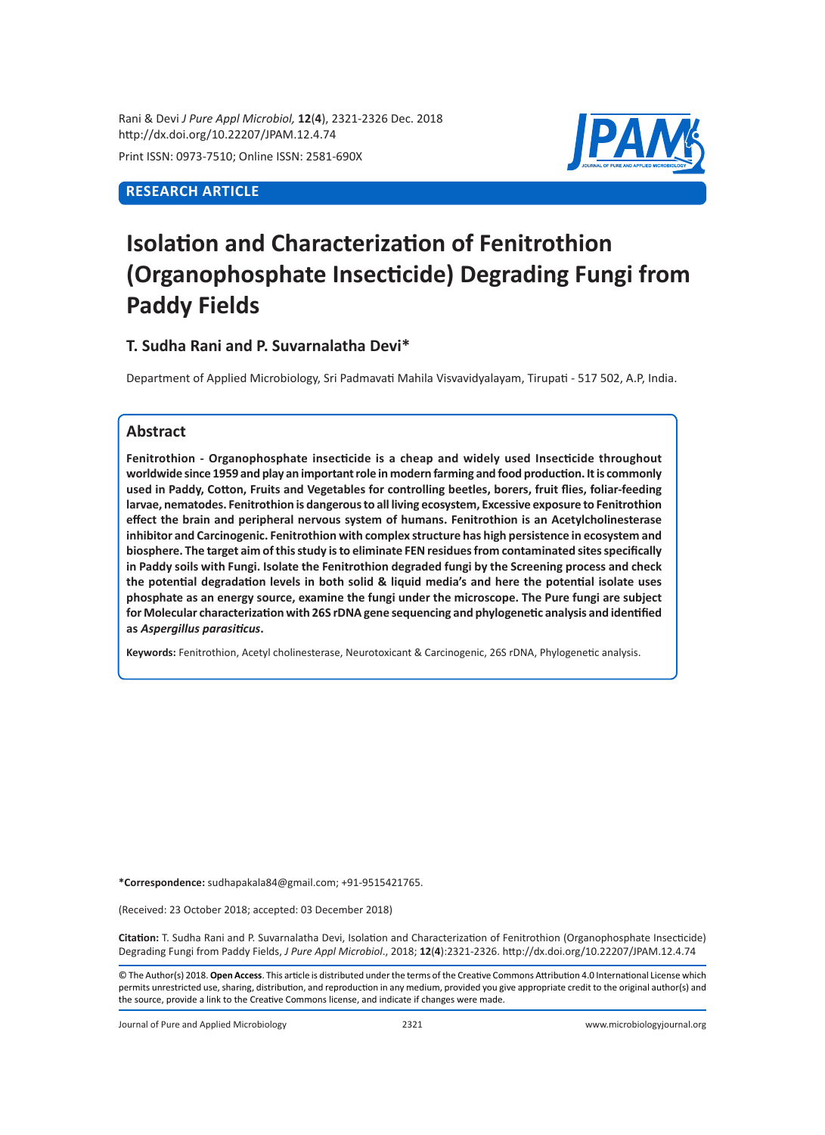Rani & Devi *J Pure Appl Microbiol,* **12**(**4**), 2321-2326 Dec. 2018 http://dx.doi.org/10.22207/JPAM.12.4.74

Print ISSN: 0973-7510; Online ISSN: 2581-690X

# **RESEARCH ARTICLE**



# **Isolation and Characterization of Fenitrothion (Organophosphate Insecticide) Degrading Fungi from Paddy Fields**

# **T. Sudha Rani and P. Suvarnalatha Devi\***

Department of Applied Microbiology, Sri Padmavati Mahila Visvavidyalayam, Tirupati - 517 502, A.P, India.

# **Abstract**

**Fenitrothion - Organophosphate insecticide is a cheap and widely used Insecticide throughout worldwide since 1959 and play an important role in modern farming and food production. It is commonly used in Paddy, Cotton, Fruits and Vegetables for controlling beetles, borers, fruit flies, foliar-feeding larvae, nematodes. Fenitrothion is dangerous to all living ecosystem, Excessive exposure to Fenitrothion effect the brain and peripheral nervous system of humans. Fenitrothion is an Acetylcholinesterase inhibitor and Carcinogenic. Fenitrothion with complex structure has high persistence in ecosystem and biosphere. The target aim of this study is to eliminate FEN residues from contaminated sites specifically in Paddy soils with Fungi. Isolate the Fenitrothion degraded fungi by the Screening process and check the potential degradation levels in both solid & liquid media's and here the potential isolate uses phosphate as an energy source, examine the fungi under the microscope. The Pure fungi are subject for Molecular characterization with 26S rDNA gene sequencing and phylogenetic analysis and identified as** *Aspergillus parasiticus***.**

**Keywords:** Fenitrothion, Acetyl cholinesterase, Neurotoxicant & Carcinogenic, 26S rDNA, Phylogenetic analysis.

**\*Correspondence:** sudhapakala84@gmail.com; +91-9515421765.

(Received: 23 October 2018; accepted: 03 December 2018)

**Citation:** T. Sudha Rani and P. Suvarnalatha Devi, Isolation and Characterization of Fenitrothion (Organophosphate Insecticide) Degrading Fungi from Paddy Fields, *J Pure Appl Microbiol*., 2018; **12**(**4**):2321-2326. http://dx.doi.org/10.22207/JPAM.12.4.74

© The Author(s) 2018. **Open Access**. This article is distributed under the terms of the Creative Commons Attribution 4.0 International License which permits unrestricted use, sharing, distribution, and reproduction in any medium, provided you give appropriate credit to the original author(s) and the source, provide a link to the Creative Commons license, and indicate if changes were made.

Journal of Pure and Applied Microbiology 2321 www.microbiologyjournal.org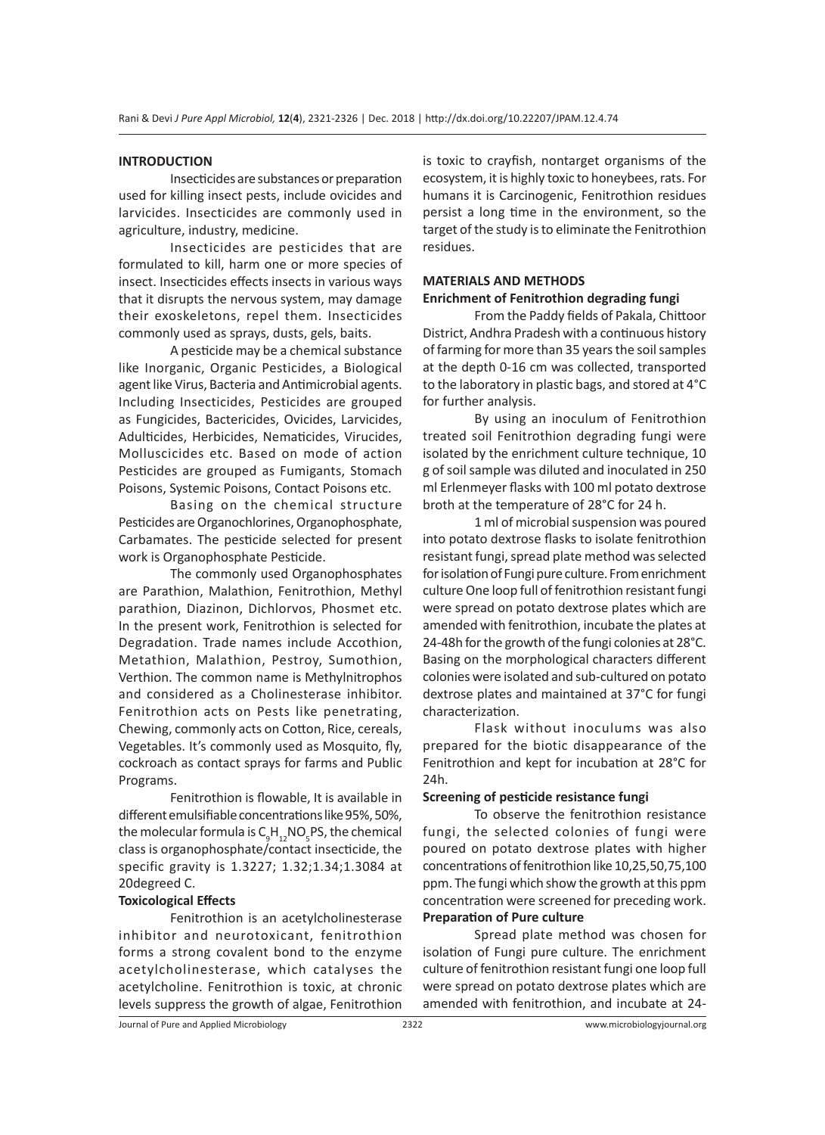#### **INTRODUCTION**

Insecticides are substances or preparation used for killing insect pests, include ovicides and larvicides. Insecticides are commonly used in agriculture, industry, medicine.

Insecticides are pesticides that are formulated to kill, harm one or more species of insect. Insecticides effects insects in various ways that it disrupts the nervous system, may damage their exoskeletons, repel them. Insecticides commonly used as sprays, dusts, gels, baits.

A pesticide may be a chemical substance like Inorganic, Organic Pesticides, a Biological agent like Virus, Bacteria and Antimicrobial agents. Including Insecticides, Pesticides are grouped as Fungicides, Bactericides, Ovicides, Larvicides, Adulticides, Herbicides, Nematicides, Virucides, Molluscicides etc. Based on mode of action Pesticides are grouped as Fumigants, Stomach Poisons, Systemic Poisons, Contact Poisons etc.

Basing on the chemical structure Pesticides are Organochlorines, Organophosphate, Carbamates. The pesticide selected for present work is Organophosphate Pesticide.

The commonly used Organophosphates are Parathion, Malathion, Fenitrothion, Methyl parathion, Diazinon, Dichlorvos, Phosmet etc. In the present work, Fenitrothion is selected for Degradation. Trade names include Accothion, Metathion, Malathion, Pestroy, Sumothion, Verthion. The common name is Methylnitrophos and considered as a Cholinesterase inhibitor. Fenitrothion acts on Pests like penetrating, Chewing, commonly acts on Cotton, Rice, cereals, Vegetables. It's commonly used as Mosquito, fly, cockroach as contact sprays for farms and Public Programs.

Fenitrothion is flowable, It is available in different emulsifiable concentrations like 95%, 50%, the molecular formula is  $C_{9}H_{12}NO_{5}PS$ , the chemical class is organophosphate/contact insecticide, the specific gravity is 1.3227; 1.32;1.34;1.3084 at 20degreed C.

#### **Toxicological Effects**

Fenitrothion is an acetylcholinesterase inhibitor and neurotoxicant, fenitrothion forms a strong covalent bond to the enzyme acetylcholinesterase, which catalyses the acetylcholine. Fenitrothion is toxic, at chronic levels suppress the growth of algae, Fenitrothion is toxic to crayfish, nontarget organisms of the ecosystem, it is highly toxic to honeybees, rats. For humans it is Carcinogenic, Fenitrothion residues persist a long time in the environment, so the target of the study is to eliminate the Fenitrothion residues.

## **MATERIALS AND METHODS Enrichment of Fenitrothion degrading fungi**

From the Paddy fields of Pakala, Chittoor District, Andhra Pradesh with a continuous history of farming for more than 35 years the soil samples at the depth 0-16 cm was collected, transported to the laboratory in plastic bags, and stored at 4°C for further analysis.

By using an inoculum of Fenitrothion treated soil Fenitrothion degrading fungi were isolated by the enrichment culture technique, 10 g of soil sample was diluted and inoculated in 250 ml Erlenmeyer flasks with 100 ml potato dextrose broth at the temperature of 28°C for 24 h.

1 ml of microbial suspension was poured into potato dextrose flasks to isolate fenitrothion resistant fungi, spread plate method was selected for isolation of Fungi pure culture. From enrichment culture One loop full of fenitrothion resistant fungi were spread on potato dextrose plates which are amended with fenitrothion, incubate the plates at 24-48h for the growth of the fungi colonies at 28°C. Basing on the morphological characters different colonies were isolated and sub-cultured on potato dextrose plates and maintained at 37°C for fungi characterization.

Flask without inoculums was also prepared for the biotic disappearance of the Fenitrothion and kept for incubation at 28°C for 24h.

#### **Screening of pesticide resistance fungi**

To observe the fenitrothion resistance fungi, the selected colonies of fungi were poured on potato dextrose plates with higher concentrations of fenitrothion like 10,25,50,75,100 ppm. The fungi which show the growth at this ppm concentration were screened for preceding work. **Preparation of Pure culture**

Spread plate method was chosen for isolation of Fungi pure culture. The enrichment culture of fenitrothion resistant fungi one loop full were spread on potato dextrose plates which are amended with fenitrothion, and incubate at 24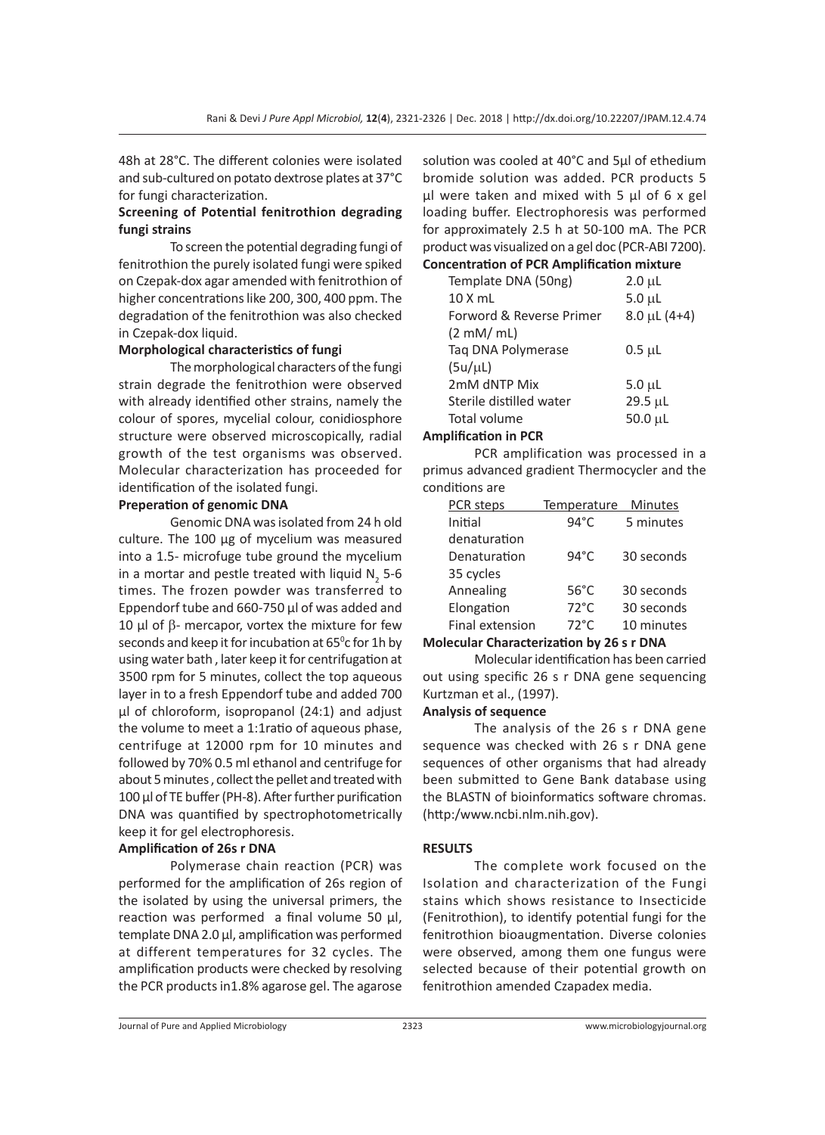48h at 28°C. The different colonies were isolated and sub-cultured on potato dextrose plates at 37°C for fungi characterization.

## **Screening of Potential fenitrothion degrading fungi strains**

To screen the potential degrading fungi of fenitrothion the purely isolated fungi were spiked on Czepak-dox agar amended with fenitrothion of higher concentrations like 200, 300, 400 ppm. The degradation of the fenitrothion was also checked in Czepak-dox liquid.

## **Morphological characteristics of fungi**

The morphological characters of the fungi strain degrade the fenitrothion were observed with already identified other strains, namely the colour of spores, mycelial colour, conidiosphore structure were observed microscopically, radial growth of the test organisms was observed. Molecular characterization has proceeded for identification of the isolated fungi.

#### **Preperation of genomic DNA**

Genomic DNA was isolated from 24 h old culture. The 100 µg of mycelium was measured into a 1.5- microfuge tube ground the mycelium in a mortar and pestle treated with liquid  $N_2$  5-6 times. The frozen powder was transferred to Eppendorf tube and 660-750 µl of was added and 10  $\mu$ l of  $\beta$ - mercapor, vortex the mixture for few seconds and keep it for incubation at 65<sup>°</sup>c for 1h by using water bath , later keep it for centrifugation at 3500 rpm for 5 minutes, collect the top aqueous layer in to a fresh Eppendorf tube and added 700 µl of chloroform, isopropanol (24:1) and adjust the volume to meet a 1:1ratio of aqueous phase, centrifuge at 12000 rpm for 10 minutes and followed by 70% 0.5 ml ethanol and centrifuge for about 5 minutes , collect the pellet and treated with 100 µl of TE buffer (PH-8). After further purification DNA was quantified by spectrophotometrically keep it for gel electrophoresis.

## **Amplification of 26s r DNA**

Polymerase chain reaction (PCR) was performed for the amplification of 26s region of the isolated by using the universal primers, the reaction was performed a final volume 50 µl, template DNA 2.0 µl, amplification was performed at different temperatures for 32 cycles. The amplification products were checked by resolving the PCR products in1.8% agarose gel. The agarose solution was cooled at 40°C and 5µl of ethedium bromide solution was added. PCR products 5 µl were taken and mixed with 5 µl of 6 x gel loading buffer. Electrophoresis was performed for approximately 2.5 h at 50-100 mA. The PCR product was visualized on a gel doc (PCR-ABI 7200).

# **Concentration of PCR Amplification mixture**

| Template DNA (50ng)      | $2.0 \mu L$         |
|--------------------------|---------------------|
| $10X$ mL                 | $5.0 \mu L$         |
| Forword & Reverse Primer | $8.0 \mu L (4 + 4)$ |
| $(2 \text{ mM/mL})$      |                     |
| Tag DNA Polymerase       | $0.5 \mu L$         |
| (5u/ul)                  |                     |
| 2mM dNTP Mix             | $5.0 \mu L$         |
| Sterile distilled water  | $29.5 \mu L$        |
| Total volume             | 50.0 µL             |
|                          |                     |

#### **Amplification in PCR**

PCR amplification was processed in a primus advanced gradient Thermocycler and the conditions are

| PCR steps       | Temperature    | <b>Minutes</b> |
|-----------------|----------------|----------------|
| Initial         | $94^{\circ}$ C | 5 minutes      |
| denaturation    |                |                |
| Denaturation    | $94^{\circ}$ C | 30 seconds     |
| 35 cycles       |                |                |
| Annealing       | $56^{\circ}$ C | 30 seconds     |
| Elongation      | $72^{\circ}$ C | 30 seconds     |
| Final extension | $72^{\circ}$ C | 10 minutes     |
|                 |                |                |

## **Molecular Characterization by 26 s r DNA**

Molecular identification has been carried out using specific 26 s r DNA gene sequencing Kurtzman et al., (1997).

#### **Analysis of sequence**

The analysis of the 26 s r DNA gene sequence was checked with 26 s r DNA gene sequences of other organisms that had already been submitted to Gene Bank database using the BLASTN of bioinformatics software chromas. (http:/www.ncbi.nlm.nih.gov).

## **RESULTS**

The complete work focused on the Isolation and characterization of the Fungi stains which shows resistance to Insecticide (Fenitrothion), to identify potential fungi for the fenitrothion bioaugmentation. Diverse colonies were observed, among them one fungus were selected because of their potential growth on fenitrothion amended Czapadex media.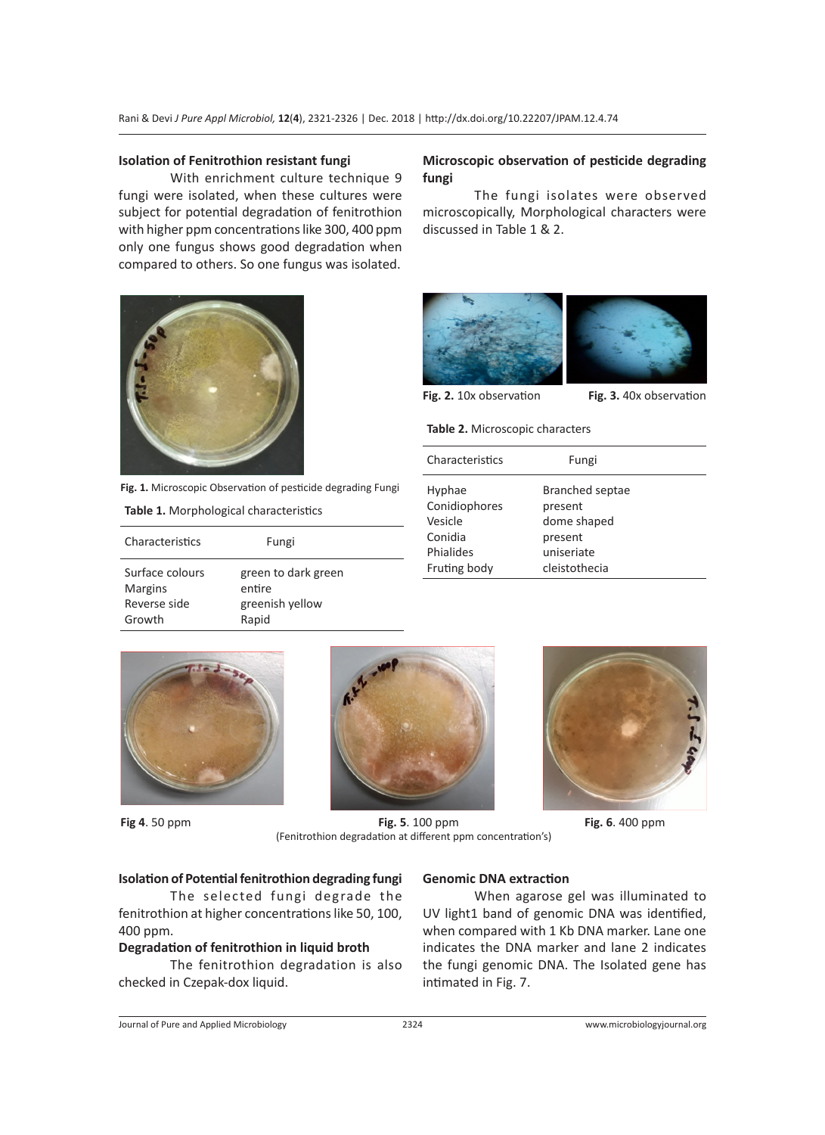#### **Isolation of Fenitrothion resistant fungi**

With enrichment culture technique 9 fungi were isolated, when these cultures were subject for potential degradation of fenitrothion with higher ppm concentrations like 300, 400 ppm only one fungus shows good degradation when compared to others. So one fungus was isolated.



**Fig. 1.** Microscopic Observation of pesticide degrading Fungi

**Table 1.** Morphological characteristics

| Characteristics | Fungi               |
|-----------------|---------------------|
| Surface colours | green to dark green |
| <b>Margins</b>  | entire              |
| Reverse side    | greenish yellow     |
| Growth          | Rapid               |

## **Microscopic observation of pesticide degrading fungi**

The fungi isolates were observed microscopically, Morphological characters were discussed in Table 1 & 2.



**Fig. 2.** 10x observation **Fig. 3.** 40x observation

**Table 2.** Microscopic characters

Fruting body cleistothecia

| Characteristics | Fungi           |  |
|-----------------|-----------------|--|
| Hyphae          | Branched septae |  |
| Conidiophores   | present         |  |
| Vesicle         | dome shaped     |  |
| Conidia         | present         |  |
| Phialides       | uniseriate      |  |





**Fig 4**. 50 ppm **Fig. 5**. 100 ppm **Fig. 6**. 400 ppm (Fenitrothion degradation at different ppm concentration's)



#### **Isolation of Potential fenitrothion degrading fungi**

The selected fungi degrade the fenitrothion at higher concentrations like 50, 100, 400 ppm.

#### **Degradation of fenitrothion in liquid broth**

The fenitrothion degradation is also checked in Czepak-dox liquid.

## **Genomic DNA extraction**

When agarose gel was illuminated to UV light1 band of genomic DNA was identified, when compared with 1 Kb DNA marker. Lane one indicates the DNA marker and lane 2 indicates the fungi genomic DNA. The Isolated gene has intimated in Fig. 7.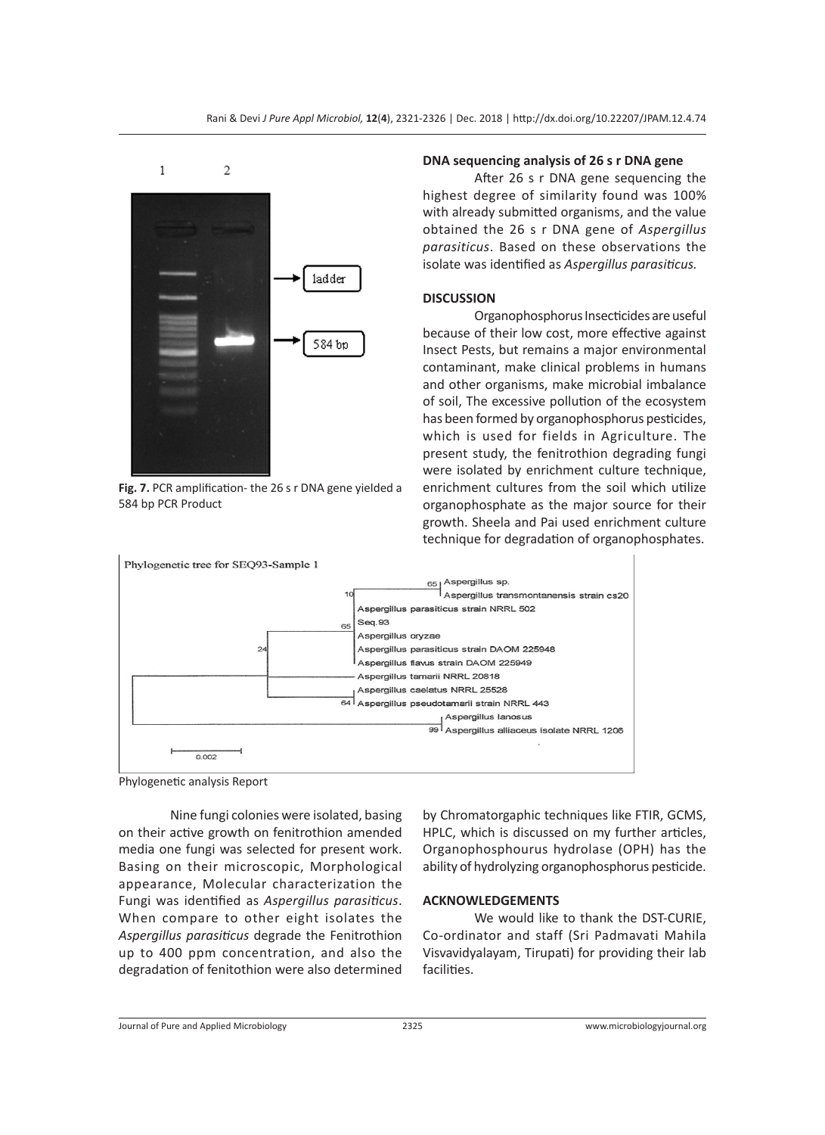

**Fig. 7.** PCR amplification- the 26 s r DNA gene yielded a 584 bp PCR Product

#### **DNA sequencing analysis of 26 s r DNA gene**

After 26 s r DNA gene sequencing the highest degree of similarity found was 100% with already submitted organisms, and the value obtained the 26 s r DNA gene of *Aspergillus parasiticus*. Based on these observations the isolate was identified as *Aspergillus parasiticus.*

#### **DISCUSSION**

Organophosphorus Insecticides are useful because of their low cost, more effective against Insect Pests, but remains a major environmental contaminant, make clinical problems in humans and other organisms, make microbial imbalance of soil, The excessive pollution of the ecosystem has been formed by organophosphorus pesticides, which is used for fields in Agriculture. The present study, the fenitrothion degrading fungi were isolated by enrichment culture technique, enrichment cultures from the soil which utilize organophosphate as the major source for their growth. Sheela and Pai used enrichment culture technique for degradation of organophosphates.



Phylogenetic analysis Report

Nine fungi colonies were isolated, basing on their active growth on fenitrothion amended media one fungi was selected for present work. Basing on their microscopic, Morphological appearance, Molecular characterization the Fungi was identified as *Aspergillus parasiticus*. When compare to other eight isolates the *Aspergillus parasiticus* degrade the Fenitrothion up to 400 ppm concentration, and also the degradation of fenitothion were also determined

by Chromatorgaphic techniques like FTIR, GCMS, HPLC, which is discussed on my further articles, Organophosphourus hydrolase (OPH) has the ability of hydrolyzing organophosphorus pesticide.

#### **ACKNOWLEDGEMENTS**

We would like to thank the DST-CURIE, Co-ordinator and staff (Sri Padmavati Mahila Visvavidyalayam, Tirupati) for providing their lab facilities.